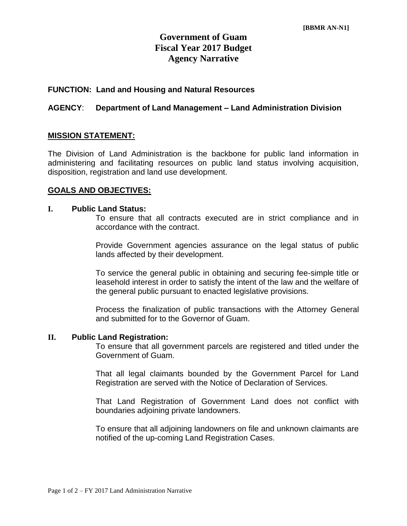# **Government of Guam Fiscal Year 2017 Budget Agency Narrative**

#### **FUNCTION: Land and Housing and Natural Resources**

#### **AGENCY**: **Department of Land Management – Land Administration Division**

#### **MISSION STATEMENT:**

The Division of Land Administration is the backbone for public land information in administering and facilitating resources on public land status involving acquisition, disposition, registration and land use development.

#### **GOALS AND OBJECTIVES:**

#### **I. Public Land Status:**

To ensure that all contracts executed are in strict compliance and in accordance with the contract.

Provide Government agencies assurance on the legal status of public lands affected by their development.

To service the general public in obtaining and securing fee-simple title or leasehold interest in order to satisfy the intent of the law and the welfare of the general public pursuant to enacted legislative provisions.

Process the finalization of public transactions with the Attorney General and submitted for to the Governor of Guam.

#### **II. Public Land Registration:**

To ensure that all government parcels are registered and titled under the Government of Guam.

That all legal claimants bounded by the Government Parcel for Land Registration are served with the Notice of Declaration of Services.

That Land Registration of Government Land does not conflict with boundaries adjoining private landowners.

To ensure that all adjoining landowners on file and unknown claimants are notified of the up-coming Land Registration Cases.